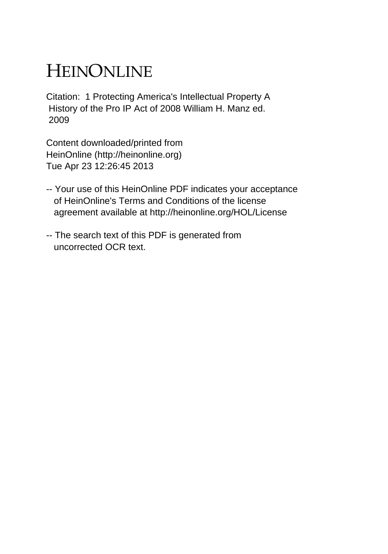# HEINONLINE

Citation: 1 Protecting America's Intellectual Property A History of the Pro IP Act of 2008 William H. Manz ed. 2009

Content downloaded/printed from HeinOnline (http://heinonline.org) Tue Apr 23 12:26:45 2013

- -- Your use of this HeinOnline PDF indicates your acceptance of HeinOnline's Terms and Conditions of the license agreement available at http://heinonline.org/HOL/License
- -- The search text of this PDF is generated from uncorrected OCR text.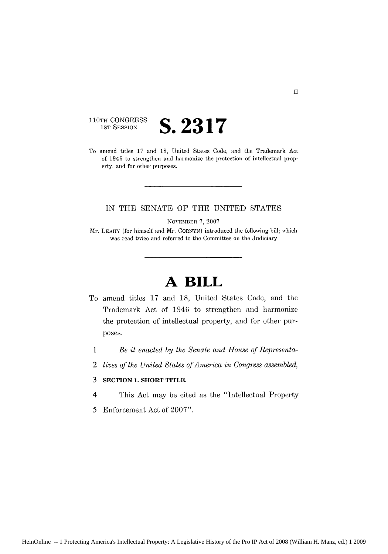110TH CONGRESS<br>1st Session

# 1ST SESSION **S. 2317**

To amend titles 17 and 18, United States Code, and the Trademark Act of 1946 to strengthen and harmonize the protection of intellectual property, and for other purposes.

#### IN THE SENATE OF THE UNITED STATES

NOVEMBER 7, 2007

Mr. LEAHY (for himself and Mr. CORNYN) introduced the following bill; which was read twice and referred to the Committee on the Judiciary

## **A BILL**

- To amend titles 17 and 18, United States Code, and the Trademark Act of 1946 to strengthen and harmonize the protection of intellectual property, and for other purposes.
- 1 *Be it enacted by the Senate and House* of *Representa-*
- 2 tives of the United States of America in Congress assembled,

#### **3 SECTION 1. SHORT TITLE.**

- 4 This Act may be cited as the "Intellectual Property
- *5* Enforcement Act of 2007".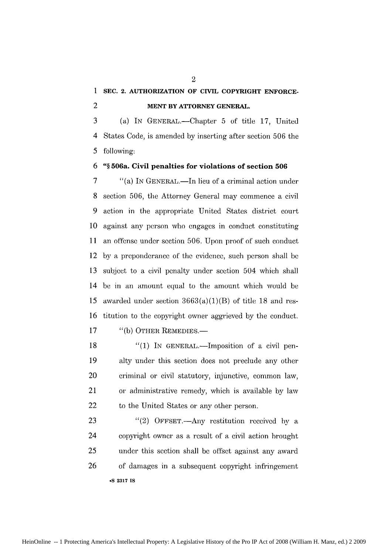### **1 SEC. 2. AUTHORIZATION OF CIVIL COPYRIGHT ENFORCE-**2 **MENT BY ATTORNEY GENERAL.**

3 (a) IN GENERAL.—Chapter 5 of title 17, United 4 States Code, is amended by inserting after section 506 the 5 following:

#### **6 "§ 506a. Civil penalties for violations of section 506**

7 "(a) IN GENERAL.—In lieu of a criminal action under **8** section 506, the Attorney General may commence a civil 9 action in the appropriate United States district court 10 against any person who engages in conduct constituting **11** an offense under section 506. Upon proof of such conduct 12 by a preponderance of the evidence, such person shall be 13 subject to a civil penalty under section 504 which shall 14 be in an amount equal to the amount which would be 15 awarded under section  $3663(a)(1)(B)$  of title 18 and res-16 titution to the copyright owner aggrieved by the conduct. 17 "(b) OTHER REMEDIES.—

18 *"(1)* IN GENERAL.-Imposition of a civil pen-19 alty under this section does not preclude any other 20 criminal or civil statutory, injunctive, common law, 21 or administrative remedy, which is available by law 22 to the United States or any other person.

23 "(2) OFFSET.—Any restitution received by a 24 copyright owner as a result of a. civil action brought 25 under this section shall be offset against any award 26 of damages in a subsequent copyright infringement **9S 2317 IS**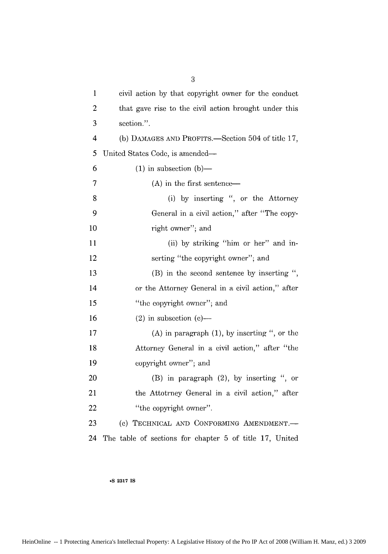| $\mathbf{1}$            | civil action by that copyright owner for the conduct    |
|-------------------------|---------------------------------------------------------|
| 2                       | that gave rise to the civil action brought under this   |
| 3                       | section.".                                              |
| $\overline{\mathbf{4}}$ | (b) DAMAGES AND PROFITS.—Section 504 of title 17,       |
| 5                       | United States Code, is amended—                         |
| 6                       | $(1)$ in subsection $(b)$ —                             |
| $\overline{7}$          | $(A)$ in the first sentence—                            |
| 8                       | (i) by inserting ", or the Attorney                     |
| 9                       | General in a civil action," after "The copy-            |
| 10                      | right owner"; and                                       |
| 11                      | (ii) by striking "him or her" and in-                   |
| 12                      | serting "the copyright owner"; and                      |
| 13                      | (B) in the second sentence by inserting ",              |
| 14                      | or the Attorney General in a civil action," after       |
| 15                      | "the copyright owner"; and                              |
| 16                      | $(2)$ in subsection $(e)$ —                             |
| 17                      | $(A)$ in paragraph $(1)$ , by inserting ", or the       |
| 18                      | Attorney General in a civil action," after "the         |
| 19                      | copyright owner"; and                                   |
| 20                      | $(B)$ in paragraph $(2)$ , by inserting ", or           |
| 21                      | the Attotrney General in a civil action," after         |
| 22                      | "the copyright owner".                                  |
| 23                      | (c) TECHNICAL AND CONFORMING AMENDMENT.-                |
| 24                      | The table of sections for chapter 5 of title 17, United |

HeinOnline -- 1 Protecting America's Intellectual Property: A Legislative History of the Pro IP Act of 2008 (William H. Manz, ed.) 3 2009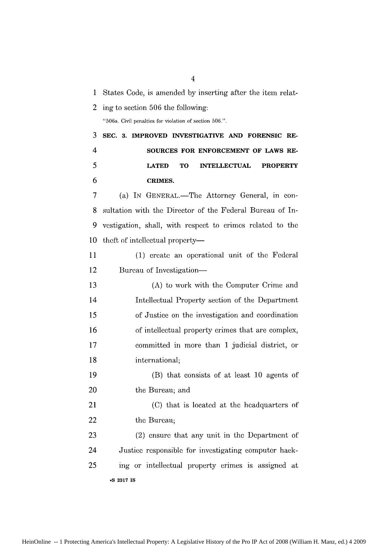**1** States Code, is amended by inserting after the item relat-

2 ing to section 506 the following:

"506a. Civil penalties for violation of section 506.".

**3 SEC. 3. IMPROVED INVESTIGATIVE AND FORENSIC RE-**4 **SOURCES FOR ENFORCEMENT OF LAWS RE-5 LATED TO INTELLECTUAL PROPERTY 6 CRIMES.**

7 (a) IN GENERAL.—The Attorney General, in con-8 sultation with the Director of the Federal Bureau of In-9 vestigation, shall, with respect to crimes related to the 10 theft of intellectual property-

11 (1) create an operational unit of the Federal 12 Bureau of Investigation—

13 (A) to work with the Computer Crime and 14 Intellectual Property section of the Department *15* of Justice on the investigation and coordination 16 of intellectual property crimes that are complex, 17 committed in more than **I** judicial district, or 18 international;

19 (B) that consists of at least 10 agents of 20 the Bureau; and

21 (C) that is located at the headquarters of 22 the Bureau;

23 (2) ensure that any unit in the Department of 24 Justice responsible for investigating computer hack-25 ing or intellectual property crimes is assigned at **oS 2317 IS**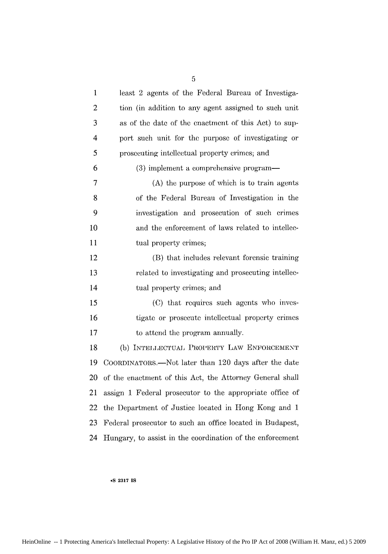| $\mathbf{1}$   | least 2 agents of the Federal Bureau of Investiga-        |
|----------------|-----------------------------------------------------------|
| $\mathbf{2}$   | tion (in addition to any agent assigned to such unit      |
| 3              | as of the date of the enactment of this Act) to sup-      |
| $\overline{4}$ | port such unit for the purpose of investigating or        |
| 5              | prosecuting intellectual property crimes; and             |
| 6              | (3) implement a comprehensive program—                    |
| 7              | (A) the purpose of which is to train agents               |
| 8              | of the Federal Bureau of Investigation in the             |
| 9              | investigation and prosecution of such crimes              |
| 10             | and the enforcement of laws related to intellec-          |
| 11             | tual property crimes;                                     |
| 12             | (B) that includes relevant forensic training              |
| 13             | related to investigating and prosecuting intellec-        |
| 14             | tual property crimes; and                                 |
| 15             | (C) that requires such agents who inves-                  |
| 16             | tigate or prosecute intellectual property erimes          |
| 17             | to attend the program annually.                           |
| 18             | (b) INTELLECTUAL PROPERTY LAW ENFORCEMENT                 |
| 19             | COORDINATORS.—Not later than 120 days after the date      |
| 20             | of the enactment of this Act, the Attorney General shall  |
| 21             | assign 1 Federal prosecutor to the appropriate office of  |
| 22             | the Department of Justice located in Hong Kong and 1      |
| 23             | Federal prosecutor to such an office located in Budapest, |
| 24             | Hungary, to assist in the coordination of the enforcement |

HeinOnline -- 1 Protecting America's Intellectual Property: A Legislative History of the Pro IP Act of 2008 (William H. Manz, ed.) 5 2009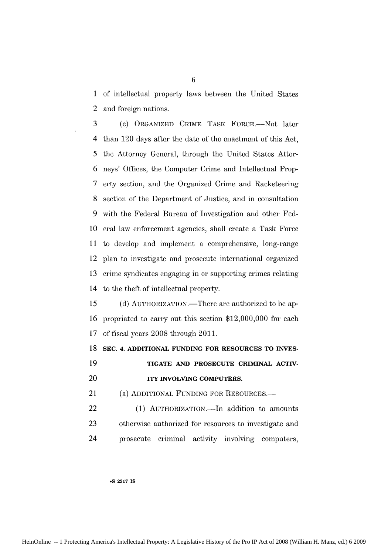1 of intellectual property laws between the United States 2 and foreign nations.

3 (C) ORGANIZED CRIME TASK FORCE.-Not later 4 than 120 days after the date of the enactment of this Act, 5 the Attorney General, through the United States Attor-6 neys' Offices, the Computer Crime and Intellectual Prop-7 erty section, and the Organized Crime and Racketeering 8 section of the Department of Justice, and in consultation 9 with the Federal Bureau of Investigation and other Fed-10 eral law enforcement agencies, shall create a Task Force 11 to develop and implement a comprehensive, long-range 12 plan to investigate and prosecute international organized 13 crime syndicates engaging in or supporting crimes relating 14 to the theft of intellectual property.

15 (d) AUTHORIZATION.—There are authorized to be ap-16 propriated to carry out this section \$12,000,000 for each 17 of fiscal years 2008 through 2011.

**18 SEC. 4. ADDITIONAL FUNDING FOR RESOURCES TO INVES-**

**19 TIGATE AND PROSECUTE CRIMINAL ACTIV-**

20 **ITY INVOLVING COMPUTERS.**

21 (a) ADDITIONAL FUNDING FOR RESOURCES.—

22 (1) AUTHORIZATION.—In addition to amounts 23 otherw'se authorized for resources to investigate and 24 prosecute criminal activity involving computers,

**oS 2317 IS**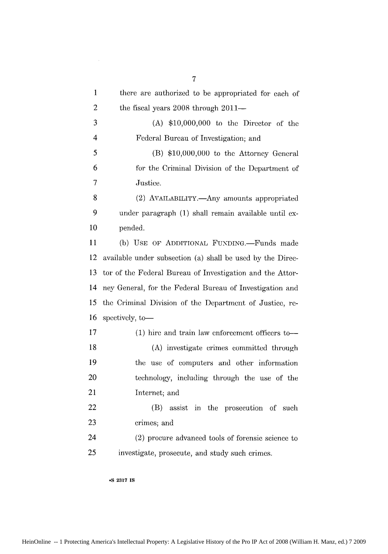1 there are authorized to be appropriated for each of 2 the fiscal years 2008 through 2011— 3 (A) \$10,000,000 to the Director of the 4 Federal Bureau of Investigation; and 5 (B) \$10,000,000 to the Attorney General 6 for the Criminal Division of the Department of 7 Justice. 8 (2) AVAILABILITY.—Any amounts appropriated 9 under paragraph (1) shall remain available until ex-10 pended. 11 (b) **USE OF ADDITIONAL** FuNDING.-Funds made 12 available under subsection (a) shall be used by the Direc-13 tor of the Federal Bureau of Imestigation and the Attor-14 ney General, for the Federal Bureau of Investigation and 15 the Criminal Division of the Department of Justice, re-16 spectively, to-17 (1) hire and train law enforcement officers to-18 (A) investigate crimes committed through 19 the use of computers and other information 20 technology, including through the use of the 21 Internet; and 22 (B) assist in the prosecution of such 23 crimes; and 24 (2) procure advanced tools of forensic science to 25 investigate, prosecute, and study such crimes.

**\*S 2317 IS**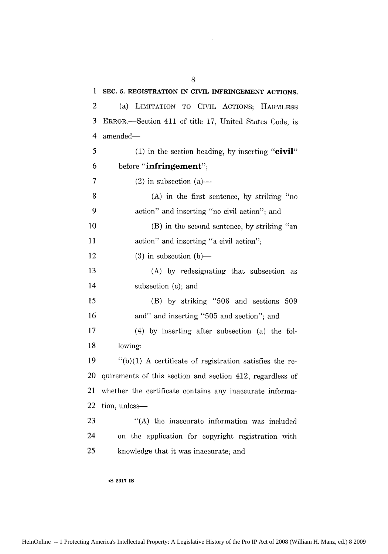**1 SEC. 5. REGISTRATION IN CIVIL INFRINGEMENT ACTIONS.** 2 (a) LIMITATION TO CIVIL ACTIONS; HARMLESS 3 ERROR.-Section 411 of title *17,* United States Code, is 4 amended-**5 (1)** in the section heading, **by** inserting **"civil" 6** before **"infringement";** 7 (2) in subsection (a)— 8 (A) in the first sentence, by striking "no 9 action" and inserting "no civil action"; and **10** (B) in the second sentence, by striking "an 11 action" and inserting "a civil action"; 12 (3) in subsection  $(b)$ — 13 (A) by redesignating that subsection as 14 subsection (c); and 15 (B) by striking "506 and sections 509 16 and" and inserting "505 and section"; and 17 (4) by inserting after subsection (a) the fol-**18** lowing: 19  $\frac{1}{2}$  (b)(1) A certificate of registration satisfies the re-20 quirements of this section and section 412, regardless of 21 whether the certificate contains any inaccurate informa-22 tion, unless-23 "(A) the inaccurate information was included 24 on the application for Copyright registration with 25 knowledge that it was inaccurate; and

8

**9S 2317 IS**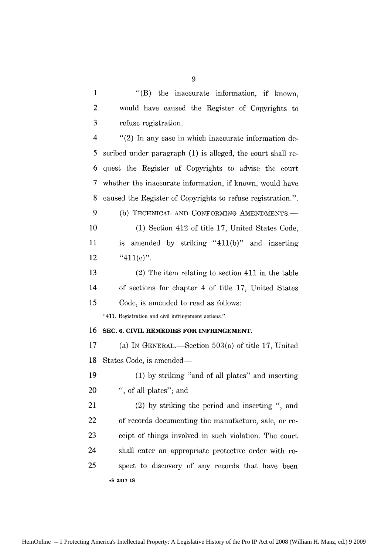| 1              | $\mathrm{``(B)}$<br>the<br>inaccurate information, if known, |
|----------------|--------------------------------------------------------------|
| $\overline{c}$ | would have caused the Register of Copyrights to              |
| 3              | refuse registration.                                         |
| 4              | $''(2)$ In any case in which inaccurate information de-      |
| 5              | seribed under paragraph (1) is alleged, the court shall re-  |
| 6              | quest the Register of Copyrights to advise the court         |
| 7              | whether the inaccurate information, if known, would have     |
| 8              | caused the Register of Copyrights to refuse registration.".  |
| 9              | (b) TECHNICAL AND CONFORMING AMENDMENTS.-                    |
| 10             | (1) Section 412 of title 17, United States Code,             |
| 11             | amended by striking "411(b)" and inserting<br>is             |
| 12             | " $411(e)$ ".                                                |
| 13             | $(2)$ The item relating to section 411 in the table          |
| 14             | of sections for chapter 4 of title 17, United States         |
| 15             | Code, is amended to read as follows:                         |
|                | "411. Registration and civil infringement actions.".         |
| 16             | SEC. 6. CIVIL REMEDIES FOR INFRINGEMENT.                     |
| 17             | (a) IN GENERAL.—Section $503(a)$ of title 17, United         |
| 18             | States Code, is amended—                                     |
| 19             | (1) by striking "and of all plates" and inserting            |
| 20             | ", of all plates"; and                                       |
| 21             | (2) by striking the period and inserting ", and              |
| 22             | of records documenting the manufacture, sale, or re-         |
| 23             | ceipt of things involved in such violation. The court        |
| 24             | shall enter an appropriate protective order with re-         |
| 25             | spect to discovery of any records that have been             |
|                | -S 2317 IS                                                   |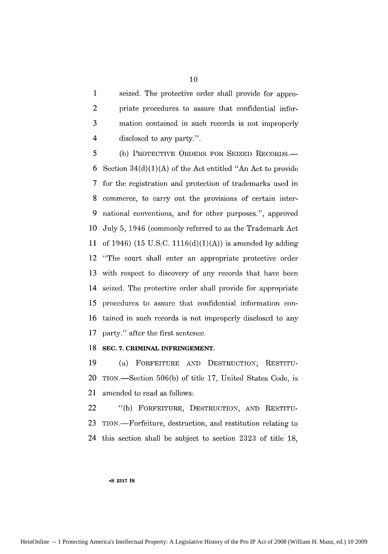1 seized. The protective order shall provide for appro-2 priate procedures to assure that confidential infor-3 mation contained in such records is not improperly 4 disclosed to any party.".

5 (b) PROTECTIVE ORDERS FOR SEIZED RECORDS.— 6 Section 34(d)(1)(A) of the Act entitled "An Act to provide 7 for the registration and protection of trademarks used in 8 commerce, to carry out the provisions of certain inter-9 national conventions, and for other purposes.", approved 10 July 5, 1946 (commonly referred to as the Trademark Act **11** of 1946) (15 U.S.C. 1116(d)(1)(A)) is amended by adding 12 "The court shall enter an appropriate protective order 13 with respect to discovery of any records that have been 14 seized. The protective order shall provide for appropriate 15 procedures to assure that confidential information con-16 tained in such records is not improperly disclosed to any 17 party." after the first sentence.

#### **18 SEC. 7. CRIMINAL INFRINGEMENT.**

19 (a) FORFEITURE AND DESTRUCTION; RESTITU-20 TION.-Section 506(b) of title 17, United States Code, is 21 amended to read as follows:

22 "(b) FORFEITURE, DESTRUCTION, AND RESTITU-23 TION.-Forfeiture, destruction, and restitution relating to 24 this section shall be subject to section 2323 of title'18,

#### **.S 2317 IS**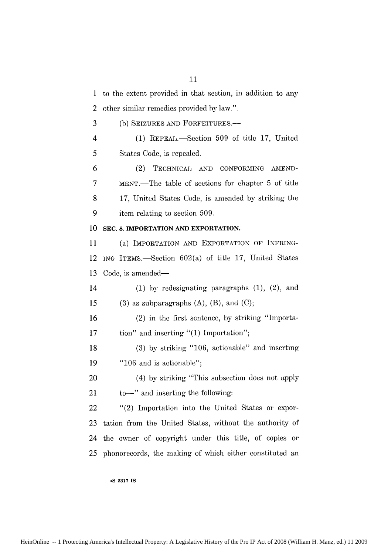1 to the extent provided in that section, in addition to any 2 other similar remedies provided by law.".

3 (b) SEIZURES AND FORFEITURES.-

4 (1) REPEAL. -Section 509 of title 17, United 5 States Code, is repealed.

6 (2) TECHNICAL AND CONFORMING AMEND-7 MENT.-The table of sections for chapter 5 of title 8 **17,** United States Code, is amended by striking the 9 item relating to section 509.

#### **10 SEC. 8. IMPORTATION AND EXPORTATION.**

11 (a) IMPORTATION AND EXPORTATION OF INFRING-12 ING ITEMS.-Section 602(a) of title 17, United States 13 Code, is amended—

14 (1) by redesignating paragraphs (1), (2), and 15 (3) as subparagraphs  $(A)$ ,  $(B)$ , and  $(C)$ ;

16 (2) in the first sentence, by striking "Importa-17 tion" and inserting "(1) Importation";

18 (3) by striking "106, actionable" and inserting 19 "106 and is actionable";

20 (4) by striking "This subsection does not apply 21 to  $-$ " and inserting the following:

22 "(2) Importation into the United States or expor-23 tation from the United States, without the authority of 24 the owner of copyright under this title, of copies or 25 phonorecords, the making of which either constituted an

**\*S 2317 IS**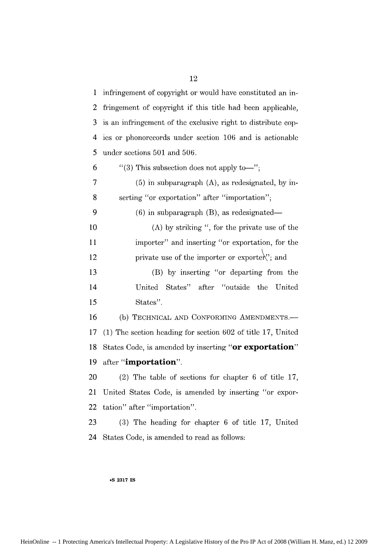| $\mathbf{1}$   | infringement of copyright or would have constituted an in-   |
|----------------|--------------------------------------------------------------|
| $\overline{c}$ | fringement of copyright if this title had been applicable,   |
| 3              | is an infringement of the exclusive right to distribute cop- |
| 4              | ies or phonorecords under section 106 and is actionable      |
| 5              | under sections 501 and 506.                                  |
| 6              | "(3) This subsection does not apply to-";                    |
| 7              | $(5)$ in subparagraph $(A)$ , as redesignated, by in-        |
| 8              | serting "or exportation" after "importation";                |
| 9              | $(6)$ in subparagraph $(B)$ , as redesignated—               |
| 10             | (A) by striking $"$ , for the private use of the             |
| 11             | importer" and inserting "or exportation, for the             |
| 12             | private use of the importer or exportex'; and                |
| 13             | (B) by inserting "or departing from the                      |
| 14             | States" after "outside"<br>the<br>United<br>United           |
| 15             | States".                                                     |
| 16             | (b) TECHNICAL AND CONFORMING AMENDMENTS.-                    |
| 17             | (1) The section heading for section 602 of title 17, United  |
| 18             | States Code, is amended by inserting "or exportation"        |
| 19             | after "importation".                                         |
| 20             | $(2)$ The table of sections for chapter 6 of title 17,       |
| 21             | United States Code, is amended by inserting "or expor-       |
| 22             | tation" after "importation".                                 |
| 23             | (3) The heading for chapter 6 of title 17, United            |
| 24             | States Code, is amended to read as follows:                  |

#### **°S 2317 IS**

HeinOnline -- 1 Protecting America's Intellectual Property: A Legislative History of the Pro IP Act of 2008 (William H. Manz, ed.) 12 2009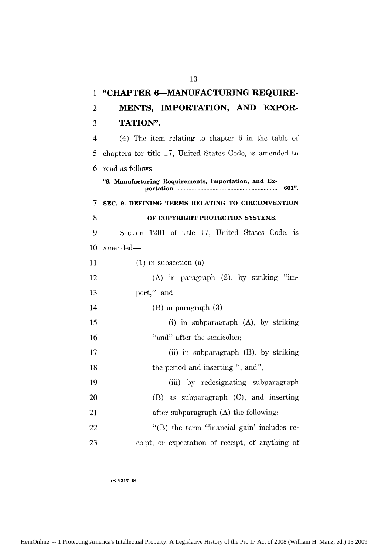| 1  | "CHAPTER 6-MANUFACTURING REQUIRE-                             |
|----|---------------------------------------------------------------|
| 2  | MENTS, IMPORTATION, AND EXPOR-                                |
| 3  | TATION".                                                      |
| 4  | $(4)$ The item relating to chapter 6 in the table of          |
| 5  | chapters for title 17, United States Code, is amended to      |
| 6  | read as follows:                                              |
|    | "6. Manufacturing Requirements, Importation, and Ex-<br>601". |
| 7  | SEC. 9. DEFINING TERMS RELATING TO CIRCUMVENTION              |
| 8  | OF COPYRIGHT PROTECTION SYSTEMS.                              |
| 9  | Section 1201 of title 17, United States Code, is              |
| 10 | amended-                                                      |
| 11 | $(1)$ in subsection $(a)$ —                                   |
| 12 | $(A)$ in paragraph $(2)$ , by striking "im-                   |
| 13 | port,"; and                                                   |
| 14 | $(B)$ in paragraph $(3)$ —                                    |
| 15 | (i) in subparagraph $(A)$ , by striking                       |
| 16 | "and" after the semicolon;                                    |
| 17 | (ii) in subparagraph (B), by striking                         |
| 18 | the period and inserting "; and";                             |
| 19 | (iii) by redesignating subparagraph                           |
| 20 | as subparagraph $(C)$ , and inserting<br>(B)                  |
| 21 | after subparagraph (A) the following:                         |
| 22 | "(B) the term 'financial gain' includes re-                   |
| 23 | ceipt, or expectation of receipt, of anything of              |

#### **sS 2317 IS**

HeinOnline -- 1 Protecting America's Intellectual Property: A Legislative History of the Pro IP Act of 2008 (William H. Manz, ed.) 13 2009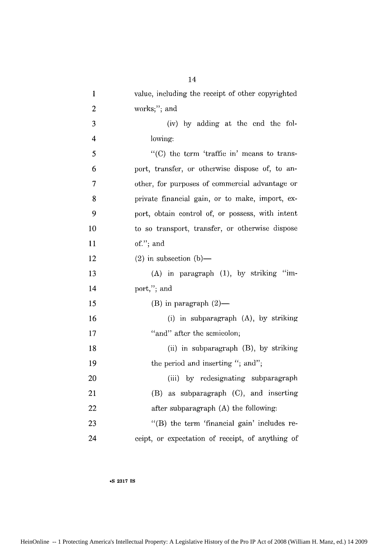| $\mathbf{1}$            | value, including the receipt of other copyrighted |
|-------------------------|---------------------------------------------------|
| $\overline{2}$          | works;"; and                                      |
| 3                       | (iv) by adding at the end the fol-                |
| $\overline{\mathbf{4}}$ | lowing:                                           |
| 5                       | $"$ (C) the term 'traffic in' means to trans-     |
| 6                       | port, transfer, or otherwise dispose of, to an-   |
| 7                       | other, for purposes of commercial advantage or    |
| 8                       | private financial gain, or to make, import, ex-   |
| 9                       | port, obtain control of, or possess, with intent  |
| 10                      | to so transport, transfer, or otherwise dispose   |
| 11                      | of."; and                                         |
| 12                      | $(2)$ in subsection $(b)$ —                       |
| 13                      | (A) in paragraph (1), by striking "im-            |
| 14                      | port,"; and                                       |
| 15                      | $(B)$ in paragraph $(2)$ —                        |
| 16                      | (i) in subparagraph $(A)$ , by striking           |
| 17                      | "and" after the semicolon;                        |
| 18                      | (ii) in subparagraph (B), by striking             |
| 19                      | the period and inserting "; and";                 |
| 20                      | (iii) by redesignating subparagraph               |
| 21                      | (B) as subparagraph (C), and inserting            |
| 22                      | after subparagraph (A) the following:             |
| 23                      | "(B) the term 'financial gain' includes re-       |
| 24                      | ceipt, or expectation of receipt, of anything of  |

HeinOnline -- 1 Protecting America's Intellectual Property: A Legislative History of the Pro IP Act of 2008 (William H. Manz, ed.) 14 2009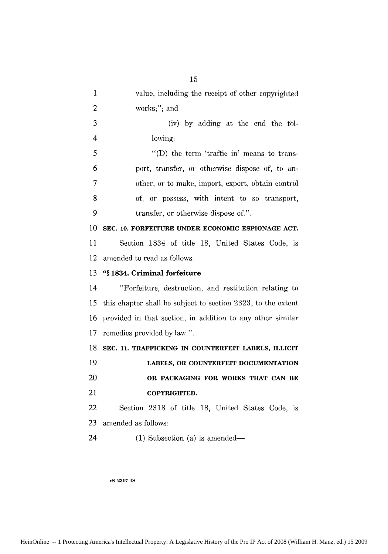| value, including the receipt of other copyrighted            |
|--------------------------------------------------------------|
| works;"; and                                                 |
| (iv) by adding at the end the fol-                           |
| lowing:                                                      |
| "(D) the term 'traffic in' means to trans-                   |
| port, transfer, or otherwise dispose of, to an-              |
| other, or to make, import, export, obtain control            |
| of, or possess, with intent to so transport,                 |
| transfer, or otherwise dispose of.".                         |
| SEC. 10. FORFEITURE UNDER ECONOMIC ESPIONAGE ACT.            |
| Section 1834 of title 18, United States Code, is             |
| amended to read as follows:                                  |
| "§1834. Criminal forfeiture                                  |
| "Forfeiture, destruction, and restitution relating to        |
| this chapter shall be subject to section 2323, to the extent |
| provided in that section, in addition to any other similar   |
| remedies provided by law.".                                  |
| SEC. 11. TRAFFICKING IN COUNTERFEIT LABELS, ILLICIT          |
| LABELS, OR COUNTERFEIT DOCUMENTATION                         |
| OR PACKAGING FOR WORKS THAT CAN BE                           |
| COPYRIGHTED.                                                 |
| Section 2318 of title 18, United States Code, is             |
| amended as follows:                                          |
|                                                              |
|                                                              |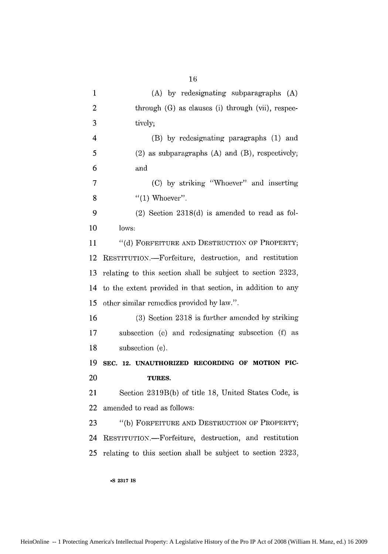| $\mathbf{1}$   | (A) by redesignating subparagraphs (A)                     |
|----------------|------------------------------------------------------------|
| $\overline{c}$ | through (G) as clauses (i) through (vii), respec-          |
| 3              | tively;                                                    |
| 4              | (B) by redesignating paragraphs (1) and                    |
| 5              | $(2)$ as subparagraphs $(A)$ and $(B)$ , respectively;     |
| 6              | and                                                        |
| $\overline{7}$ | (C) by striking "Whoever" and inserting                    |
| 8              | $\lq(1)$ Whoever".                                         |
| 9              | $(2)$ Section 2318 $(d)$ is amended to read as fol-        |
| 10             | lows:                                                      |
| 11             | "(d) FORFEITURE AND DESTRUCTION OF PROPERTY;               |
| 12             | RESTITUTION.---Forfeiture, destruction, and restitution    |
| 13             | relating to this section shall be subject to section 2323, |
| 14             | to the extent provided in that section, in addition to any |
| 15             | other similar remedies provided by law.".                  |
| 16             | (3) Section 2318 is further amended by striking            |
| 17             | subsection (e) and redesignating subsection (f) as         |
| 18             | subsection (e).                                            |
| 19             | SEC. 12. UNAUTHORIZED RECORDING OF MOTION PIC-             |
| 20             | TURES.                                                     |
| 21             | Section 2319B(b) of title 18, United States Code, is       |
| 22             | amended to read as follows:                                |
| 23             |                                                            |
|                | "(b) FORFEITURE AND DESTRUCTION OF PROPERTY;               |
| 24             | RESTITUTION.-Forfeiture, destruction, and restitution      |
| 25             | relating to this section shall be subject to section 2323, |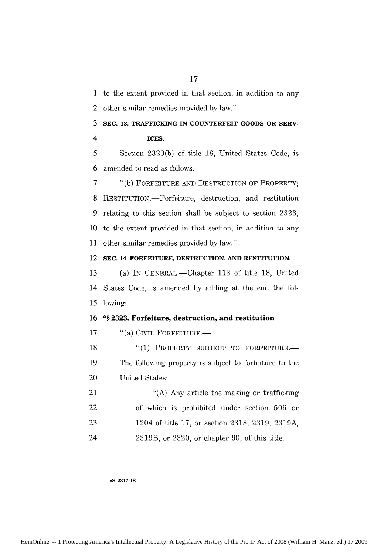1 to the extent provided in that section, in addition to any 2 other similar remedies provided by law.".

3 **SEC. 13. TRAFFICKING IN COUNTERFEIT GOODS OR SERV-**

4 **ICES.**

5 Section 2320(b) of title 18, United States Code, is 6 amended to read as follows:

7 "(b) FORFEITURE AND DESTRUCTION OF PROPERTY; **8** RESTITUTION.-Forfeiture, destruction, and restitution 9 relating to this section shall be subject to section 2323, **10** to the extent provided in that section, in addition to any **11** other similar remedies provided by law.".

12 **SEC. 14. FORFEITURE, DESTRUCTION, AND RESTITUTION.**

13 (a) IN GENERAL.—Chapter 113 of title 18, United 14 States Code, is amended by adding at the end the fol-*15* lowing:

**16 "§ 2323. Forfeiture, destruction, and restitution**

17 "(a) CIVIL FORFEITURE.

18 "(1) PROPERTY SUBJECT TO FORFEITURE. **19** The following property is subject to forfeiture to the 20 United States:

| 21 | "(A) Any article the making or trafficking"         |
|----|-----------------------------------------------------|
| 22 | of which is prohibited under section 506 or         |
| 23 | 1204 of title 17, or section 2318, 2319, 2319A,     |
| 24 | $2319B$ , or $2320$ , or chapter 90, of this title. |

**oS 2317 IS**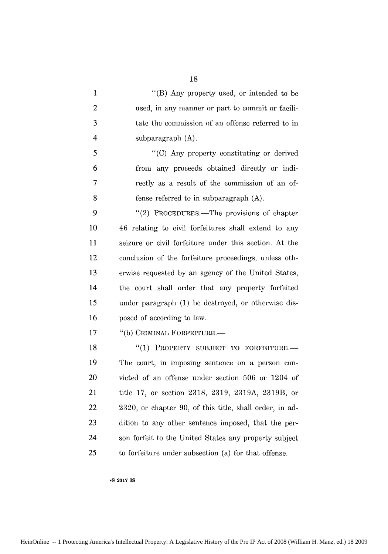| 1              | "(B) Any property used, or intended to be               |
|----------------|---------------------------------------------------------|
| $\overline{2}$ | used, in any manner or part to commit or facili-        |
| 3              | tate the commission of an offense referred to in        |
| 4              | subparagraph $(A)$ .                                    |
| 5              | "(C) Any property constituting or derived               |
| 6              | from any proceeds obtained directly or indi-            |
| 7              | rectly as a result of the commission of an of-          |
| 8              | fense referred to in subparagraph (A).                  |
| 9              | "(2) PROCEDURES.—The provisions of chapter              |
| 10             | 46 relating to civil forfeitures shall extend to any    |
| 11             | seizure or civil forfeiture under this section. At the  |
| 12             | conclusion of the forfeiture proceedings, unless oth-   |
| 13             | erwise requested by an agency of the United States,     |
| 14             | the court shall order that any property forfeited       |
| 15             | under paragraph (1) be destroyed, or otherwise dis-     |
| 16             | posed of according to law.                              |
| 17             | "(b) CRIMINAL FORFEITURE.-                              |
| 18             | "(1) PROPERTY SUBJECT TO FORFEITURE.-                   |
| 19             | The court, in imposing sentence on a person con-        |
| 20             | victed of an offense under section 506 or 1204 of       |
| 21             | title 17, or section 2318, 2319, 2319A, 2319B, or       |
| 22             | 2320, or chapter 90, of this title, shall order, in ad- |
| 23             | dition to any other sentence imposed, that the per-     |
| 24             | son forfeit to the United States any property subject   |
| 25             | to forfeiture under subsection (a) for that offense.    |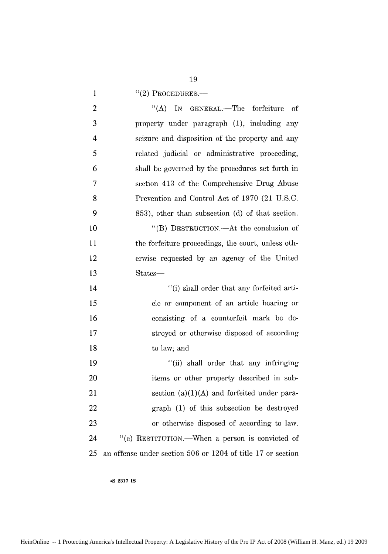19

1  $((2)$  PROCEDURES.—

| $\overline{c}$ | $\lq\lq (A)$<br>IN GENERAL.—The forfeiture of               |
|----------------|-------------------------------------------------------------|
| 3              | property under paragraph (1), including any                 |
| $\overline{4}$ | scizure and disposition of the property and any             |
| 5              | related judicial or administrative proceeding,              |
| 6              | shall be governed by the procedures set forth in            |
| 7              | section 413 of the Comprehensive Drug Abuse                 |
| 8              | Prevention and Control Act of 1970 (21 U.S.C.               |
| 9              | 853), other than subsection (d) of that section.            |
| 10             | "(B) DESTRUCTION.—At the conclusion of                      |
| 11             | the forfeiture proceedings, the court, unless oth-          |
| 12             | erwise requested by an agency of the United                 |
| 13             | States—                                                     |
| 14             | "(i) shall order that any forfeited arti-                   |
| 15             | cle or component of an article bearing or                   |
| 16             | consisting of a counterfeit mark be de-                     |
| 17             | stroyed or otherwise disposed of according                  |
| 18             | to law; and                                                 |
| 19             | "(ii) shall order that any infringing                       |
| 20             | items or other property described in sub-                   |
| 21             | section $(a)(1)(A)$ and forfeited under para-               |
| 22             | graph (1) of this subsection be destroyed                   |
| 23             | or otherwise disposed of according to law.                  |
| 24             | "(c) RESTITUTION.—When a person is convicted of             |
| 25             | an offense under section 506 or 1204 of title 17 or section |

**\*S 2317 IS**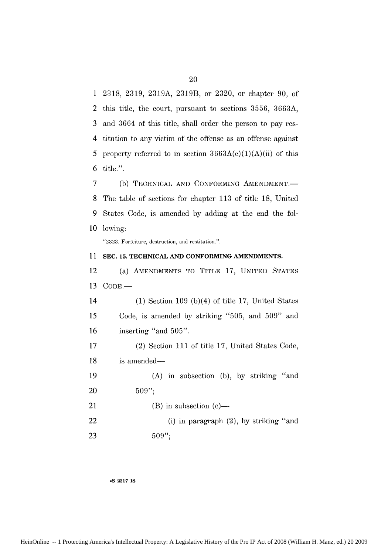1 2318, 2319, 2319A, 2319B, or 2320, or chapter 90, of 2 this title, the court, pursuant to sections 3556, 3663A and 3664 of this title, shall order the person to pay res-3 titution to any victim of the offense as an offense against property referred to in section  $3663A(c)(1)(A)(ii)$  of this title.". 4 5 6

(b) TECHNICAL AND CONFORMING AMENDMENT.-The table of sections for chapter 113 of title 18, United States Code, is amended by adding at the end the following: 10 7 **8** 9

"2323. Forfeiture, destruction, and restitution.".

#### 11 SEC. 15. TECHNICAL AND CONFORMING AMENDMENTS

(a) **AMENDMENTS** TO TITLE 17, **UNITED STATES** 13 COD **E.-** 12

14 *15* 16 (1) Section 109 (b)(4) of title 17, United States Code, is amended by striking "505, and 509" and inserting "and **505".**

17 18 19 (2) Section 111 of title 17, United States Code, is amended-

20 (A) in subsection (b), by striking "and 509"

21  $(B)$  in subsection  $(c)$ —

22 23 (i) in paragraph (2), by striking "and 509"

**@S 2317 IS**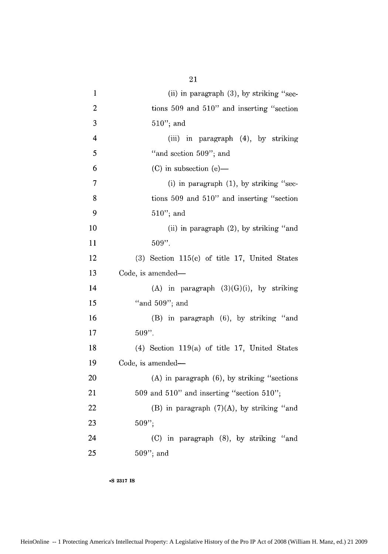| $\mathbf{1}$            | (ii) in paragraph $(3)$ , by striking "sec-        |
|-------------------------|----------------------------------------------------|
| $\overline{c}$          | tions $509$ and $510$ " and inserting "section     |
| 3                       | $510$ "; and                                       |
| $\overline{\mathbf{4}}$ | (iii) in paragraph (4), by striking                |
| 5                       | "and section 509"; and                             |
| 6                       | $(C)$ in subsection $(e)$ —                        |
| 7                       | (i) in paragraph $(1)$ , by striking "sec-         |
| 8                       | tions 509 and 510" and inserting "section          |
| 9                       | $510$ "; and                                       |
| 10                      | (ii) in paragraph (2), by striking "and            |
| 11                      | 509".                                              |
| 12                      | $(3)$ Section 115 $(c)$ of title 17, United States |
| 13                      | Code, is amended—                                  |
| 14                      | (A) in paragraph $(3)(G)(i)$ , by striking         |
| 15                      | "and $509$ "; and                                  |
| 16                      | (B) in paragraph (6), by striking "and             |
| 17                      | $509"$ .                                           |
| 18                      | $(4)$ Section 119(a) of title 17, United States    |
| 19                      | Code, is amended-                                  |
| 20                      | $(A)$ in paragraph $(6)$ , by striking "sections"  |
| 21                      | 509 and 510" and inserting "section 510";          |
| 22                      | (B) in paragraph $(7)(A)$ , by striking "and       |
| 23                      | $509$ ";                                           |
| 24                      | (C) in paragraph (8), by striking "and             |
| 25                      | $509"$ ; and                                       |

HeinOnline -- 1 Protecting America's Intellectual Property: A Legislative History of the Pro IP Act of 2008 (William H. Manz, ed.) 21 2009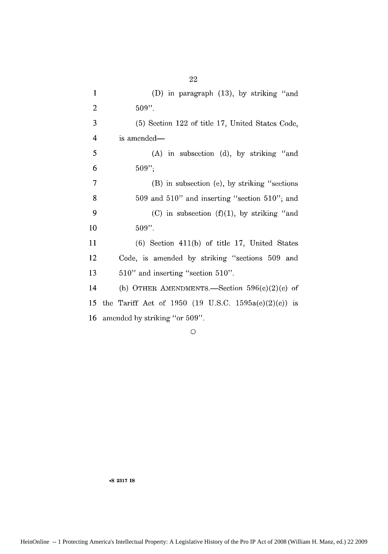| 1  | (D) in paragraph (13), by striking "and              |
|----|------------------------------------------------------|
| 2  | $509"$ .                                             |
| 3  | (5) Section 122 of title 17, United States Code,     |
| 4  | is amended—                                          |
| 5  | (A) in subsection (d), by striking "and              |
| 6  | 509'';                                               |
| 7  | (B) in subsection (e), by striking "sections"        |
| 8  | $509$ and $510"$ and inserting "section $510"$ ; and |
| 9  | (C) in subsection $(f)(1)$ , by striking "and        |
| 10 | $509"$ .                                             |
| 11 | $(6)$ Section 411 $(b)$ of title 17, United States   |
| 12 | Code, is amended by striking "sections 509 and       |
| 13 | 510" and inserting "section 510".                    |
| 14 | (b) OTHER AMENDMENTS.—Section $596(c)(2)(c)$ of      |
| 15 | the Tariff Act of 1950 (19 U.S.C. 1595a(c)(2)(c)) is |
| 16 | amended by striking "or 509".                        |

**0**

**\*S 2317 IS**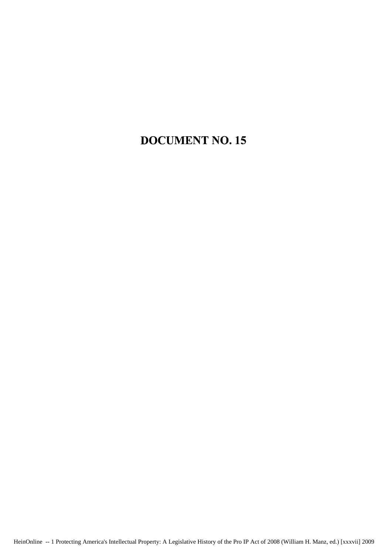### **DOCUMENT NO.15**